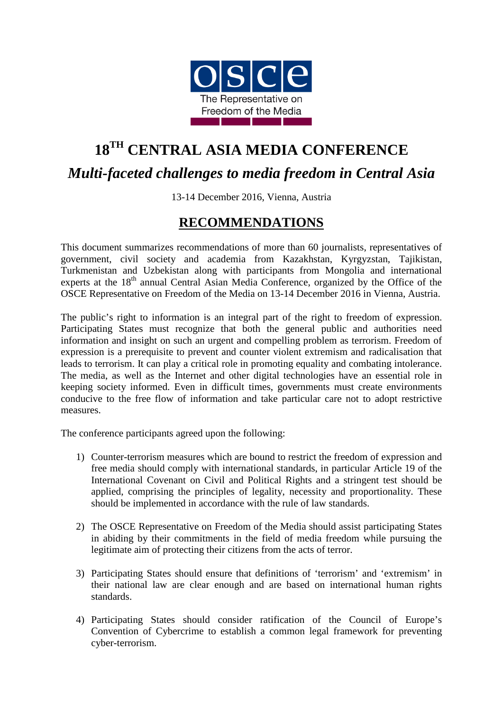

## **18TH CENTRAL ASIA MEDIA CONFERENCE** *Multi-faceted challenges to media freedom in Central Asia*

13-14 December 2016, Vienna, Austria

## **RECOMMENDATIONS**

This document summarizes recommendations of more than 60 journalists, representatives of government, civil society and academia from Kazakhstan, Kyrgyzstan, Tajikistan, Turkmenistan and Uzbekistan along with participants from Mongolia and international experts at the 18<sup>th</sup> annual Central Asian Media Conference, organized by the Office of the OSCE Representative on Freedom of the Media on 13-14 December 2016 in Vienna, Austria.

The public's right to information is an integral part of the right to freedom of expression. Participating States must recognize that both the general public and authorities need information and insight on such an urgent and compelling problem as terrorism. Freedom of expression is a prerequisite to prevent and counter violent extremism and radicalisation that leads to terrorism. It can play a critical role in promoting equality and combating intolerance. The media, as well as the Internet and other digital technologies have an essential role in keeping society informed. Even in difficult times, governments must create environments conducive to the free flow of information and take particular care not to adopt restrictive measures.

The conference participants agreed upon the following:

- 1) Counter-terrorism measures which are bound to restrict the freedom of expression and free media should comply with international standards, in particular Article 19 of the International Covenant on Civil and Political Rights and a stringent test should be applied, comprising the principles of legality, necessity and proportionality. These should be implemented in accordance with the rule of law standards.
- 2) The OSCE Representative on Freedom of the Media should assist participating States in abiding by their commitments in the field of media freedom while pursuing the legitimate aim of protecting their citizens from the acts of terror.
- 3) Participating States should ensure that definitions of 'terrorism' and 'extremism' in their national law are clear enough and are based on international human rights standards.
- 4) Participating States should consider ratification of the Council of Europe's Convention of Cybercrime to establish a common legal framework for preventing cyber-terrorism.